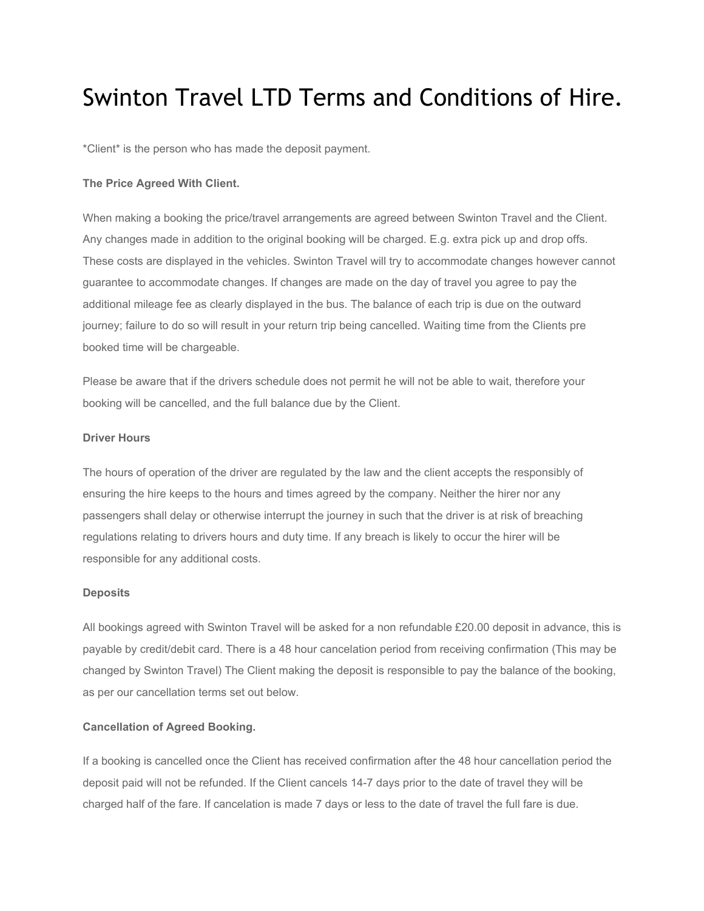# Swinton Travel LTD Terms and Conditions of Hire.

\*Client\* is the person who has made the deposit payment.

### **The Price Agreed With Client.**

When making a booking the price/travel arrangements are agreed between Swinton Travel and the Client. Any changes made in addition to the original booking will be charged. E.g. extra pick up and drop offs. These costs are displayed in the vehicles. Swinton Travel will try to accommodate changes however cannot guarantee to accommodate changes. If changes are made on the day of travel you agree to pay the additional mileage fee as clearly displayed in the bus. The balance of each trip is due on the outward journey; failure to do so will result in your return trip being cancelled. Waiting time from the Clients pre booked time will be chargeable.

Please be aware that if the drivers schedule does not permit he will not be able to wait, therefore your booking will be cancelled, and the full balance due by the Client.

#### **Driver Hours**

The hours of operation of the driver are regulated by the law and the client accepts the responsibly of ensuring the hire keeps to the hours and times agreed by the company. Neither the hirer nor any passengers shall delay or otherwise interrupt the journey in such that the driver is at risk of breaching regulations relating to drivers hours and duty time. If any breach is likely to occur the hirer will be responsible for any additional costs.

#### **Deposits**

All bookings agreed with Swinton Travel will be asked for a non refundable £20.00 deposit in advance, this is payable by credit/debit card. There is a 48 hour cancelation period from receiving confirmation (This may be changed by Swinton Travel) The Client making the deposit is responsible to pay the balance of the booking, as per our cancellation terms set out below.

# **Cancellation of Agreed Booking.**

If a booking is cancelled once the Client has received confirmation after the 48 hour cancellation period the deposit paid will not be refunded. If the Client cancels 147 days prior to the date of travel they will be charged half of the fare. If cancelation is made 7 days or less to the date of travel the full fare is due.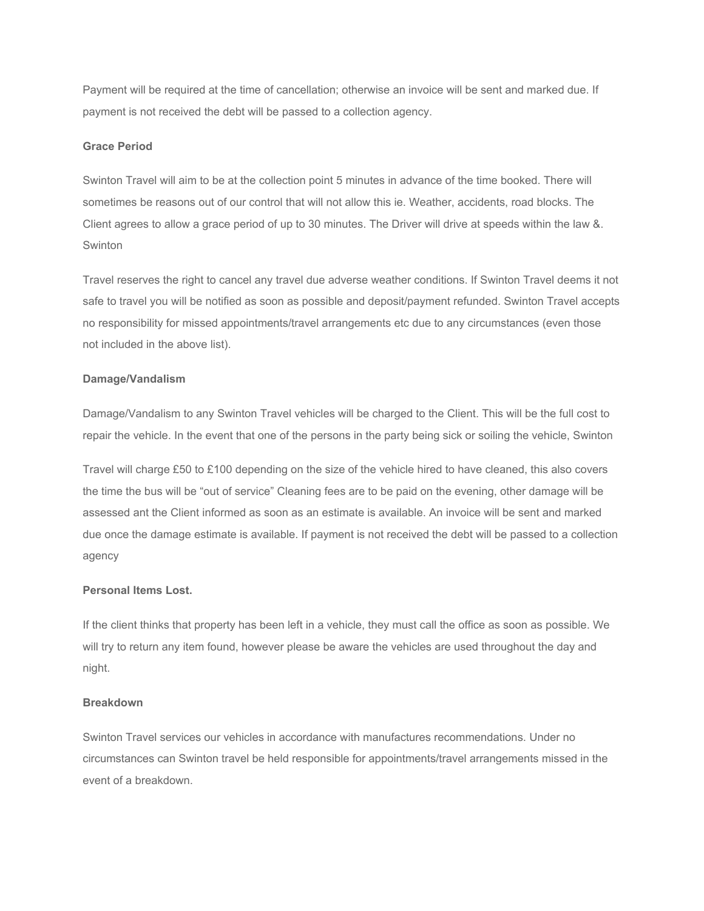Payment will be required at the time of cancellation; otherwise an invoice will be sent and marked due. If payment is not received the debt will be passed to a collection agency.

#### **Grace Period**

Swinton Travel will aim to be at the collection point 5 minutes in advance of the time booked. There will sometimes be reasons out of our control that will not allow this ie. Weather, accidents, road blocks. The Client agrees to allow a grace period of up to 30 minutes. The Driver will drive at speeds within the law &. Swinton

Travel reserves the right to cancel any travel due adverse weather conditions. If Swinton Travel deems it not safe to travel you will be notified as soon as possible and deposit/payment refunded. Swinton Travel accepts no responsibility for missed appointments/travel arrangements etc due to any circumstances (even those not included in the above list).

### **Damage/Vandalism**

Damage/Vandalism to any Swinton Travel vehicles will be charged to the Client. This will be the full cost to repair the vehicle. In the event that one of the persons in the party being sick or soiling the vehicle, Swinton

Travel will charge £50 to £100 depending on the size of the vehicle hired to have cleaned, this also covers the time the bus will be "out of service" Cleaning fees are to be paid on the evening, other damage will be assessed ant the Client informed as soon as an estimate is available. An invoice will be sent and marked due once the damage estimate is available. If payment is not received the debt will be passed to a collection agency

# **Personal Items Lost.**

If the client thinks that property has been left in a vehicle, they must call the office as soon as possible. We will try to return any item found, however please be aware the vehicles are used throughout the day and night.

### **Breakdown**

Swinton Travel services our vehicles in accordance with manufactures recommendations. Under no circumstances can Swinton travel be held responsible for appointments/travel arrangements missed in the event of a breakdown.